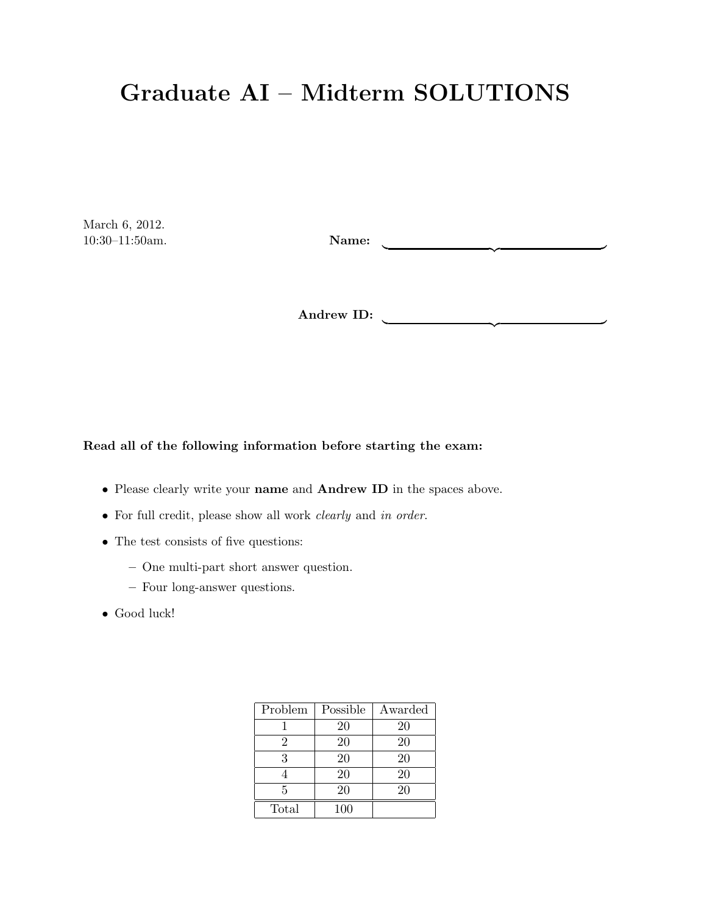## Graduate AI – Midterm SOLUTIONS

March 6, 2012.  $10:30-11:50am.$ 

| {z }

| {z }

Andrew ID:

Read all of the following information before starting the exam:

- Please clearly write your name and Andrew ID in the spaces above.
- For full credit, please show all work *clearly* and in order.
- The test consists of five questions:
	- One multi-part short answer question.
	- Four long-answer questions.
- Good luck!

| Problem | Possible | Awarded |
|---------|----------|---------|
|         | 20       | 20      |
| 2       | 20       | 20      |
| 3       | 20       | 20      |
|         | 20       | 20      |
| 5       | 20       | 20      |
| Total   | 100      |         |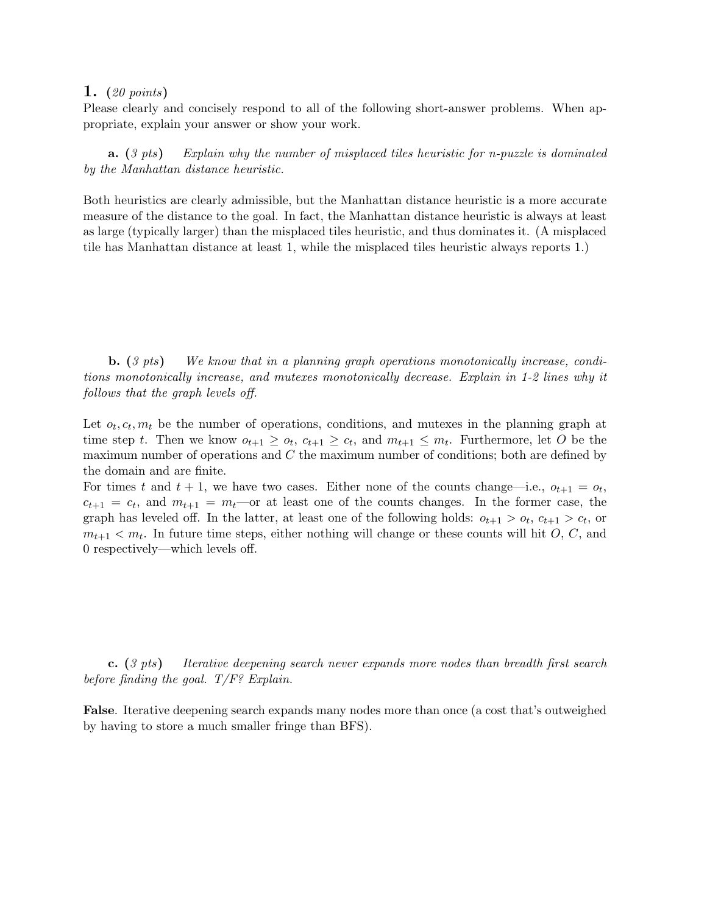Please clearly and concisely respond to all of the following short-answer problems. When appropriate, explain your answer or show your work.

**a.**  $(3 \text{ pts})$  Explain why the number of misplaced tiles heuristic for n-puzzle is dominated by the Manhattan distance heuristic.

Both heuristics are clearly admissible, but the Manhattan distance heuristic is a more accurate measure of the distance to the goal. In fact, the Manhattan distance heuristic is always at least as large (typically larger) than the misplaced tiles heuristic, and thus dominates it. (A misplaced tile has Manhattan distance at least 1, while the misplaced tiles heuristic always reports 1.)

**b.** (3 pts) We know that in a planning graph operations monotonically increase, conditions monotonically increase, and mutexes monotonically decrease. Explain in 1-2 lines why it follows that the graph levels off.

Let  $o_t, c_t, m_t$  be the number of operations, conditions, and mutexes in the planning graph at time step t. Then we know  $o_{t+1} \geq o_t$ ,  $c_{t+1} \geq c_t$ , and  $m_{t+1} \leq m_t$ . Furthermore, let O be the maximum number of operations and C the maximum number of conditions; both are defined by the domain and are finite.

For times t and  $t + 1$ , we have two cases. Either none of the counts change—i.e.,  $o_{t+1} = o_t$ ,  $c_{t+1} = c_t$ , and  $m_{t+1} = m_t$  or at least one of the counts changes. In the former case, the graph has leveled off. In the latter, at least one of the following holds:  $o_{t+1} > o_t$ ,  $c_{t+1} > c_t$ , or  $m_{t+1} < m_t$ . In future time steps, either nothing will change or these counts will hit O, C, and 0 respectively—which levels off.

c. (3 pts) Iterative deepening search never expands more nodes than breadth first search before finding the goal.  $T/F$ ? Explain.

False. Iterative deepening search expands many nodes more than once (a cost that's outweighed by having to store a much smaller fringe than BFS).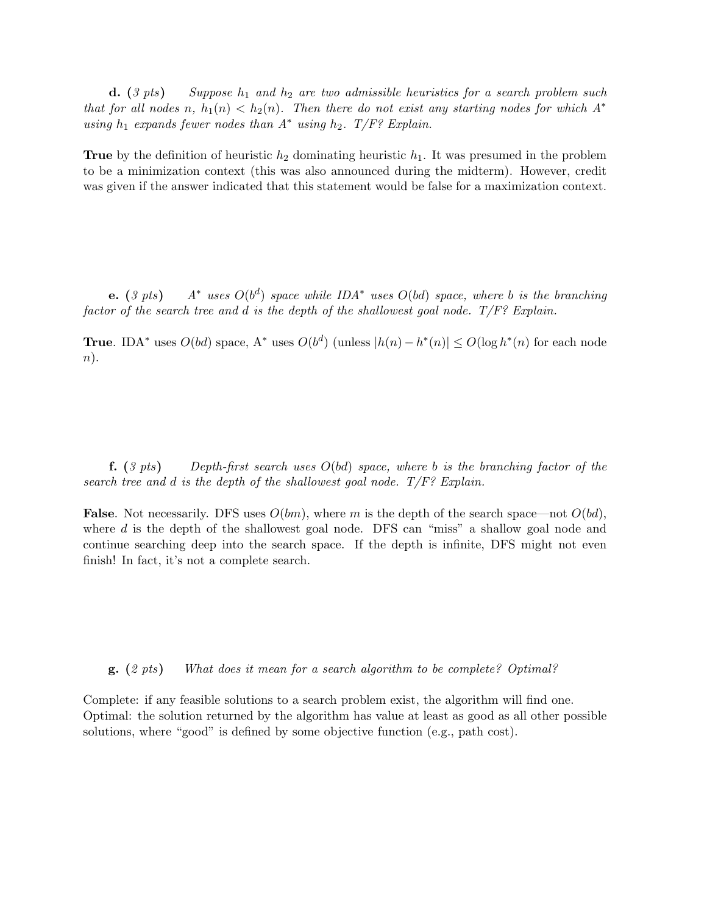**d.** (3 pts) Suppose  $h_1$  and  $h_2$  are two admissible heuristics for a search problem such that for all nodes n,  $h_1(n) < h_2(n)$ . Then there do not exist any starting nodes for which  $A^*$ using  $h_1$  expands fewer nodes than  $A^*$  using  $h_2$ .  $T/F$ ? Explain.

**True** by the definition of heuristic  $h_2$  dominating heuristic  $h_1$ . It was presumed in the problem to be a minimization context (this was also announced during the midterm). However, credit was given if the answer indicated that this statement would be false for a maximization context.

**e.** (3 pts)  $A^*$  uses  $O(b^d)$  space while IDA<sup>\*</sup> uses  $O(bd)$  space, where b is the branching factor of the search tree and d is the depth of the shallowest goal node.  $T/F$ ? Explain.

**True.** IDA<sup>\*</sup> uses  $O(bd)$  space, A<sup>\*</sup> uses  $O(b^d)$  (unless  $|h(n) - h^*(n)| \leq O(\log h^*(n))$  for each node  $n$ ).

**f.** (3 pts) Depth-first search uses  $O(bd)$  space, where b is the branching factor of the search tree and d is the depth of the shallowest goal node.  $T/F$ ? Explain.

**False**. Not necessarily. DFS uses  $O(bm)$ , where m is the depth of the search space—not  $O(bd)$ , where d is the depth of the shallowest goal node. DFS can "miss" a shallow goal node and continue searching deep into the search space. If the depth is infinite, DFS might not even finish! In fact, it's not a complete search.

g. (2 pts) What does it mean for a search algorithm to be complete? Optimal?

Complete: if any feasible solutions to a search problem exist, the algorithm will find one. Optimal: the solution returned by the algorithm has value at least as good as all other possible solutions, where "good" is defined by some objective function (e.g., path cost).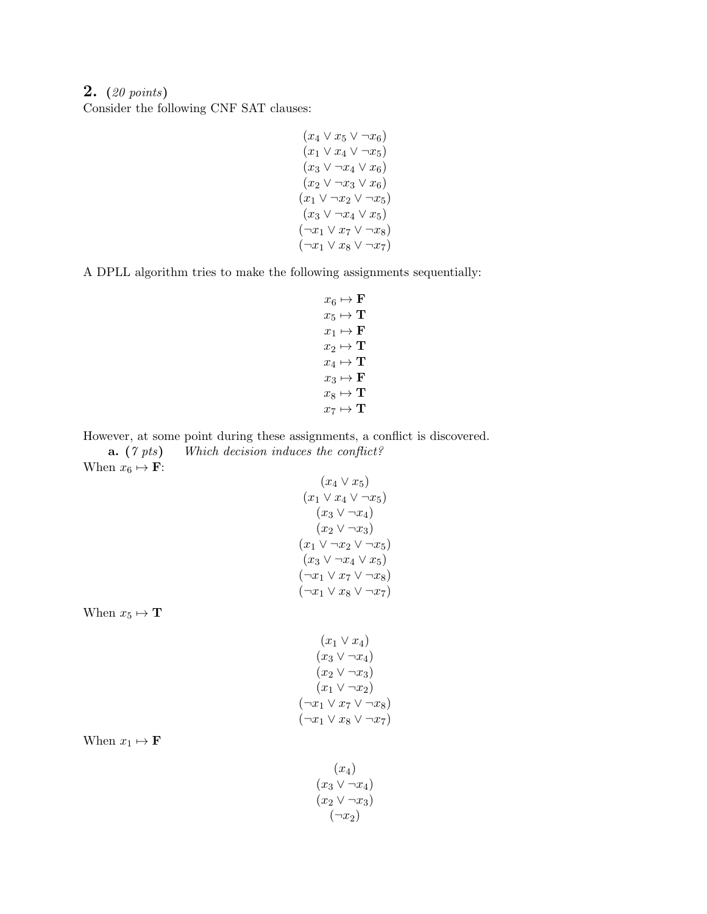2. (20 points) Consider the following CNF SAT clauses:

$$
(x_4 \vee x_5 \vee \neg x_6)
$$
  
\n
$$
(x_1 \vee x_4 \vee \neg x_5)
$$
  
\n
$$
(x_3 \vee \neg x_4 \vee x_6)
$$
  
\n
$$
(x_2 \vee \neg x_3 \vee x_6)
$$
  
\n
$$
(x_1 \vee \neg x_2 \vee \neg x_5)
$$
  
\n
$$
(x_3 \vee \neg x_4 \vee x_5)
$$
  
\n
$$
(\neg x_1 \vee x_7 \vee \neg x_8)
$$
  
\n
$$
(\neg x_1 \vee x_8 \vee \neg x_7)
$$

A DPLL algorithm tries to make the following assignments sequentially:

$$
x_6 \mapsto \mathbf{F}
$$
  
\n
$$
x_5 \mapsto \mathbf{T}
$$
  
\n
$$
x_1 \mapsto \mathbf{F}
$$
  
\n
$$
x_2 \mapsto \mathbf{T}
$$
  
\n
$$
x_4 \mapsto \mathbf{T}
$$
  
\n
$$
x_3 \mapsto \mathbf{F}
$$
  
\n
$$
x_8 \mapsto \mathbf{T}
$$
  
\n
$$
x_7 \mapsto \mathbf{T}
$$

However, at some point during these assignments, a conflict is discovered.

a. (7 pts) Which decision induces the conflict? When  $x_6 \mapsto \mathbf{F}$ :  $(m \vee m)$ 

$$
(x_4 \vee x_5)
$$
  
\n
$$
(x_1 \vee x_4 \vee \neg x_5)
$$
  
\n
$$
(x_3 \vee \neg x_4)
$$
  
\n
$$
(x_2 \vee \neg x_3)
$$
  
\n
$$
(x_1 \vee \neg x_2 \vee \neg x_5)
$$
  
\n
$$
(x_3 \vee \neg x_4 \vee x_5)
$$
  
\n
$$
(\neg x_1 \vee x_7 \vee \neg x_8)
$$
  
\n
$$
(\neg x_1 \vee x_8 \vee \neg x_7)
$$

When  $x_5 \mapsto \mathbf{T}$ 

$$
(x_1 \vee x_4)
$$
  
\n
$$
(x_3 \vee \neg x_4)
$$
  
\n
$$
(x_2 \vee \neg x_3)
$$
  
\n
$$
(x_1 \vee \neg x_2)
$$
  
\n
$$
(\neg x_1 \vee x_3 \vee \neg x_5)
$$
  
\n
$$
(\neg x_1 \vee x_8 \vee \neg x_7)
$$

When  $x_1 \mapsto \mathbf{F}$ 

$$
(x_4)
$$
  
\n
$$
(x_3 \vee \neg x_4)
$$
  
\n
$$
(x_2 \vee \neg x_3)
$$
  
\n
$$
(\neg x_2)
$$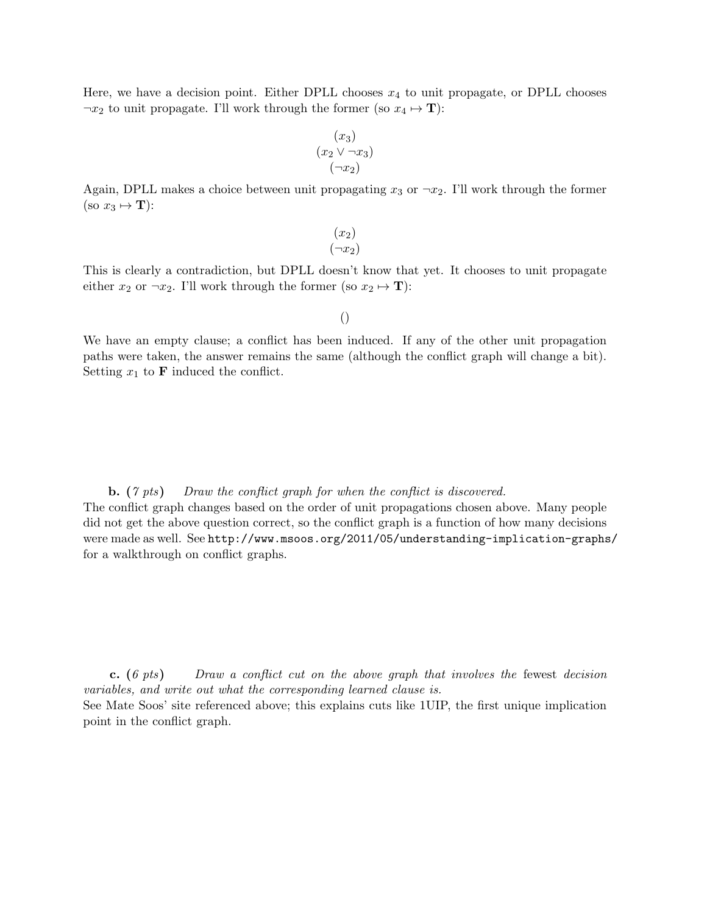Here, we have a decision point. Either DPLL chooses  $x_4$  to unit propagate, or DPLL chooses  $\neg x_2$  to unit propagate. I'll work through the former (so  $x_4 \mapsto T$ ):

$$
(x_3)
$$
  

$$
(x_2 \vee \neg x_3)
$$
  

$$
(\neg x_2)
$$

Again, DPLL makes a choice between unit propagating  $x_3$  or  $\neg x_2$ . I'll work through the former (so  $x_3 \mapsto \mathbf{T}$ ):

> $(x_2)$  $(\neg x_2)$

This is clearly a contradiction, but DPLL doesn't know that yet. It chooses to unit propagate either  $x_2$  or  $\neg x_2$ . I'll work through the former (so  $x_2 \mapsto T$ ):

()

We have an empty clause; a conflict has been induced. If any of the other unit propagation paths were taken, the answer remains the same (although the conflict graph will change a bit). Setting  $x_1$  to **F** induced the conflict.

**b.** (7 pts) Draw the conflict graph for when the conflict is discovered.

The conflict graph changes based on the order of unit propagations chosen above. Many people did not get the above question correct, so the conflict graph is a function of how many decisions were made as well. See http://www.msoos.org/2011/05/understanding-implication-graphs/ for a walkthrough on conflict graphs.

c. (6 pts) Draw a conflict cut on the above graph that involves the fewest decision variables, and write out what the corresponding learned clause is.

See Mate Soos' site referenced above; this explains cuts like 1UIP, the first unique implication point in the conflict graph.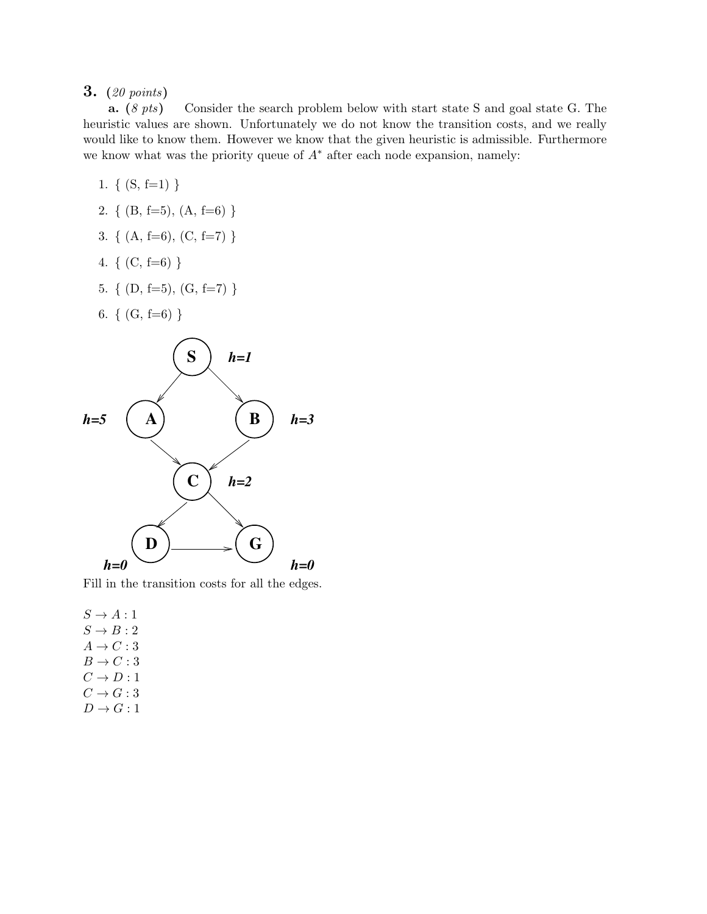a. (8 pts) Consider the search problem below with start state S and goal state G. The heuristic values are shown. Unfortunately we do not know the transition costs, and we really would like to know them. However we know that the given heuristic is admissible. Furthermore we know what was the priority queue of  $A^*$  after each node expansion, namely:

1. 
$$
\{(S, f=1)\}\
$$

- 2. {  $(B, f=5)$ ,  $(A, f=6)$ }
- 3. {  $(A, f=6)$ ,  $(C, f=7)$  }
- 4.  $\{ (C, f=6) \}$
- 5. {  $(D, f=5)$ ,  $(G, f=7)$ }
- 6.  $\{ (G, f=6) \}$



Fill in the transition costs for all the edges.

 $S \rightarrow A:1$  $S \rightarrow B:2$  $A \rightarrow C : 3$  $B \to C:3$  $C \rightarrow D:1$  $C \rightarrow G:3$  $D \rightarrow G : 1$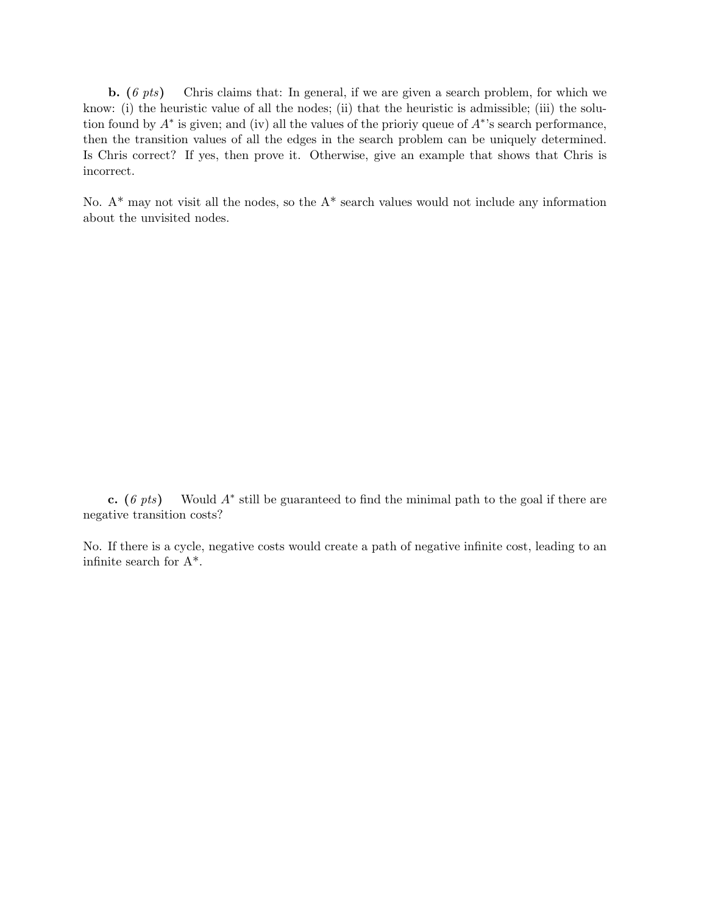**b.** (6 pts) Chris claims that: In general, if we are given a search problem, for which we know: (i) the heuristic value of all the nodes; (ii) that the heuristic is admissible; (iii) the solution found by  $A^*$  is given; and (iv) all the values of the prioriy queue of  $A^*$ 's search performance, then the transition values of all the edges in the search problem can be uniquely determined. Is Chris correct? If yes, then prove it. Otherwise, give an example that shows that Chris is incorrect.

No.  $A^*$  may not visit all the nodes, so the  $A^*$  search values would not include any information about the unvisited nodes.

c.  $(6 \; pts)$  Would  $A^*$  still be guaranteed to find the minimal path to the goal if there are negative transition costs?

No. If there is a cycle, negative costs would create a path of negative infinite cost, leading to an infinite search for A\*.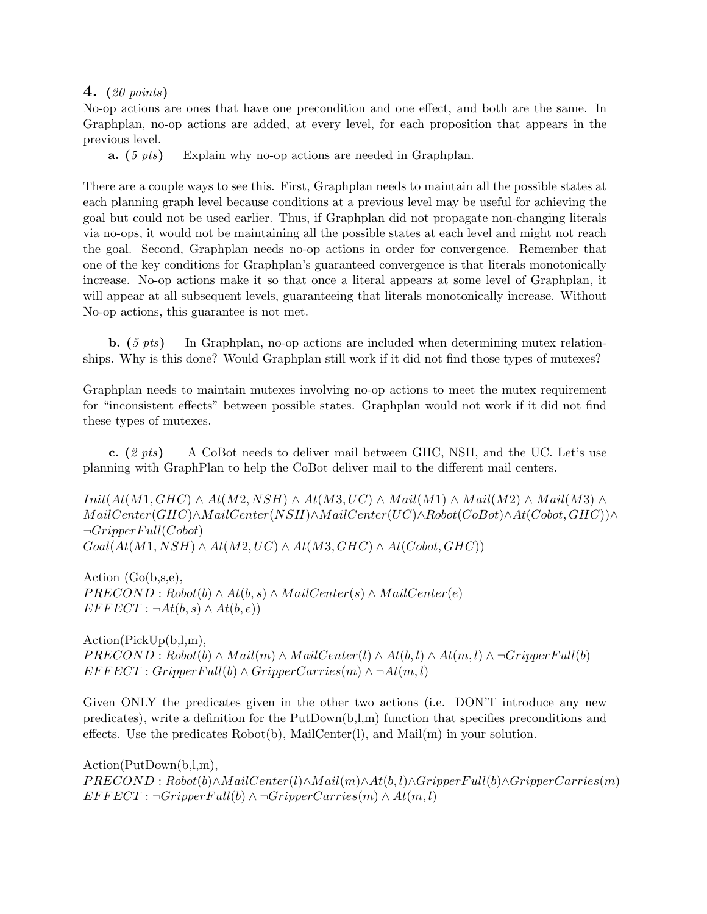No-op actions are ones that have one precondition and one effect, and both are the same. In Graphplan, no-op actions are added, at every level, for each proposition that appears in the previous level.

**a.** (5 *pts*) Explain why no-op actions are needed in Graphplan.

There are a couple ways to see this. First, Graphplan needs to maintain all the possible states at each planning graph level because conditions at a previous level may be useful for achieving the goal but could not be used earlier. Thus, if Graphplan did not propagate non-changing literals via no-ops, it would not be maintaining all the possible states at each level and might not reach the goal. Second, Graphplan needs no-op actions in order for convergence. Remember that one of the key conditions for Graphplan's guaranteed convergence is that literals monotonically increase. No-op actions make it so that once a literal appears at some level of Graphplan, it will appear at all subsequent levels, guaranteeing that literals monotonically increase. Without No-op actions, this guarantee is not met.

**b.**  $(5 \text{ pts})$  In Graphplan, no-op actions are included when determining mutex relationships. Why is this done? Would Graphplan still work if it did not find those types of mutexes?

Graphplan needs to maintain mutexes involving no-op actions to meet the mutex requirement for "inconsistent effects" between possible states. Graphplan would not work if it did not find these types of mutexes.

c.  $(2 \; \text{pts})$  A CoBot needs to deliver mail between GHC, NSH, and the UC. Let's use planning with GraphPlan to help the CoBot deliver mail to the different mail centers.

 $Init(At(M1, GHC) \wedge At(M2, NSH) \wedge At(M3, UC) \wedge Mail(M1) \wedge Mail(M2) \wedge Mail(M3) \wedge$ M ailCenter(GHC)∧M ailCenter(NSH)∧M ailCenter(UC)∧Robot(CoBot)∧At(Cobot, GHC))∧  $\neg Gripper Full(Cobot)$  $Goal(At(M1, NSH) \wedge At(M2, UC) \wedge At(M3, GHC) \wedge At(Cobot, GHC))$ 

Action (Go(b,s,e),  $PRECOND: Robot(b) \wedge At(b, s) \wedge MailCenter(s) \wedge MailCenter(e)$  $EFFECT : \neg At(b, s) \wedge At(b, e))$ 

Action(PickUp(b,l,m),  $PRECOND : Robot(b) \wedge Mail(m) \wedge MailCenter(l) \wedge At(b, l) \wedge At(m, l) \wedge \neg Gripper Full(b)$  $EFFECT : Gripper Full(b) \wedge Gripper Carries(m) \wedge \neg At(m, l)$ 

Given ONLY the predicates given in the other two actions (i.e. DON'T introduce any new predicates), write a definition for the PutDown(b,l,m) function that specifies preconditions and effects. Use the predicates  $Robot(b)$ , MailCenter(l), and Mail $(m)$  in your solution.

Action(PutDown(b,l,m), P RECOND : Robot(b)∧M ailCenter(l)∧M ail(m)∧At(b, l)∧GripperF ull(b)∧GripperCarries(m)  $EFFECT : \neg Gripper Full(b) \wedge \neg GripperCarries(m) \wedge At(m, l)$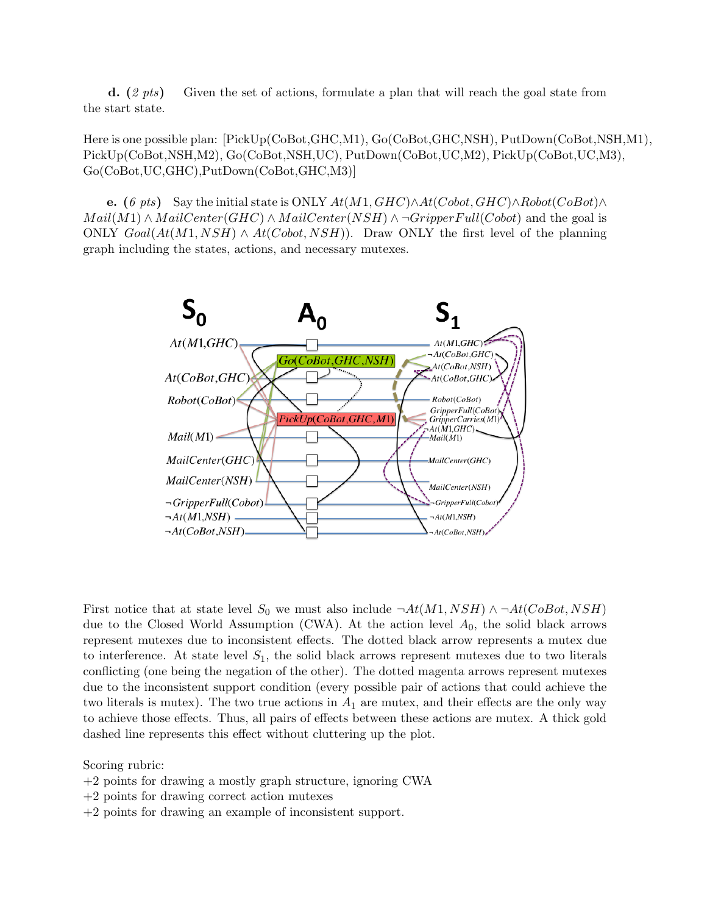**d.**  $(2 \text{ pts})$  Given the set of actions, formulate a plan that will reach the goal state from the start state.

Here is one possible plan: [PickUp(CoBot,GHC,M1), Go(CoBot,GHC,NSH), PutDown(CoBot,NSH,M1), PickUp(CoBot,NSH,M2), Go(CoBot,NSH,UC), PutDown(CoBot,UC,M2), PickUp(CoBot,UC,M3), Go(CoBot,UC,GHC),PutDown(CoBot,GHC,M3)]

e. (6 pts) Say the initial state is ONLY  $At(M1, GHC) \wedge At(Cobot, GHC) \wedge Robot(CoBot) \wedge$  $Mail(M1) \wedge MailCenter(GHC) \wedge MailCenter(NSH) \wedge \neg GripperFull(Cobot)$  and the goal is ONLY  $Goal(At(M1, NSH) \wedge At(Cobot, NSH))$ . Draw ONLY the first level of the planning graph including the states, actions, and necessary mutexes.



First notice that at state level  $S_0$  we must also include  $\neg At(M1, NSH) \land \neg At(CoBot, NSH)$ due to the Closed World Assumption (CWA). At the action level  $A_0$ , the solid black arrows represent mutexes due to inconsistent effects. The dotted black arrow represents a mutex due to interference. At state level  $S_1$ , the solid black arrows represent mutexes due to two literals conflicting (one being the negation of the other). The dotted magenta arrows represent mutexes due to the inconsistent support condition (every possible pair of actions that could achieve the two literals is mutex). The two true actions in  $A_1$  are mutex, and their effects are the only way to achieve those effects. Thus, all pairs of effects between these actions are mutex. A thick gold dashed line represents this effect without cluttering up the plot.

Scoring rubric:

- +2 points for drawing a mostly graph structure, ignoring CWA
- +2 points for drawing correct action mutexes
- +2 points for drawing an example of inconsistent support.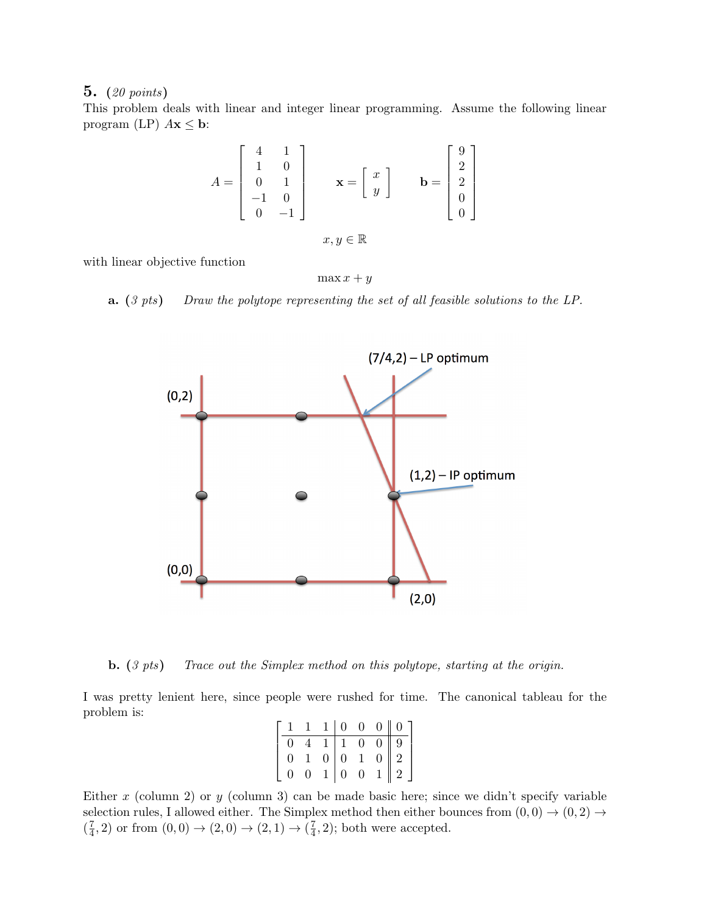This problem deals with linear and integer linear programming. Assume the following linear program (LP)  $A\mathbf{x} \leq \mathbf{b}$ :

$$
A = \begin{bmatrix} 4 & 1 \\ 1 & 0 \\ 0 & 1 \\ -1 & 0 \\ 0 & -1 \end{bmatrix} \qquad \mathbf{x} = \begin{bmatrix} x \\ y \end{bmatrix} \qquad \mathbf{b} = \begin{bmatrix} 9 \\ 2 \\ 2 \\ 0 \\ 0 \end{bmatrix}
$$

 $x, y \in \mathbb{R}$ 

with linear objective function

 $\max x + y$ 

**a.** (3 pts) Draw the polytope representing the set of all feasible solutions to the LP.



**b.** (3 pts) Trace out the Simplex method on this polytope, starting at the origin.

I was pretty lenient here, since people were rushed for time. The canonical tableau for the problem is:

|  |  |  | $\left[ \begin{array}{cccc c} 1 & 1 & 1 & 0 & 0 & 0 & 0 \\ \hline 0 & 4 & 1 & 1 & 0 & 0 & 9 \\ 0 & 1 & 0 & 0 & 1 & 0 & 2 \\ 0 & 0 & 1 & 0 & 0 & 1 & 2 \end{array} \right]$ |
|--|--|--|----------------------------------------------------------------------------------------------------------------------------------------------------------------------------|

Either x (column 2) or y (column 3) can be made basic here; since we didn't specify variable selection rules, I allowed either. The Simplex method then either bounces from  $(0,0) \rightarrow (0,2) \rightarrow$  $\left(\frac{7}{4}\right)$  $(\frac{7}{4}, 2)$  or from  $(0, 0) \to (2, 0) \to (2, 1) \to (\frac{7}{4})$  $(\frac{7}{4}, 2)$ ; both were accepted.